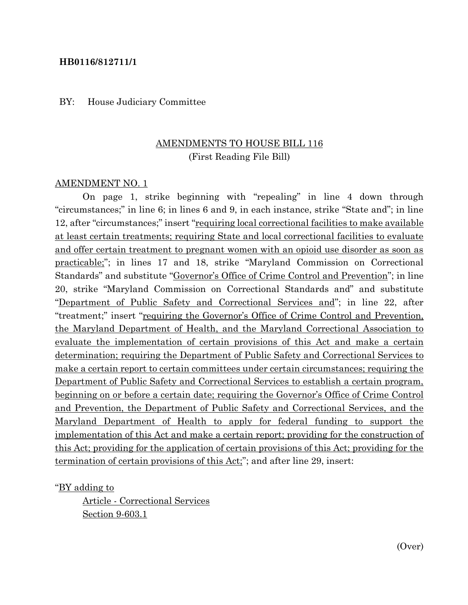#### **HB0116/812711/1**

#### BY: House Judiciary Committee

## AMENDMENTS TO HOUSE BILL 116 (First Reading File Bill)

#### AMENDMENT NO. 1

On page 1, strike beginning with "repealing" in line 4 down through "circumstances;" in line 6; in lines 6 and 9, in each instance, strike "State and"; in line 12, after "circumstances;" insert "<u>requiring local correctional facilities</u> to make available at least certain treatments; requiring State and local correctional facilities to evaluate and offer certain treatment to pregnant women with an opioid use disorder as soon as practicable;"; in lines 17 and 18, strike "Maryland Commission on Correctional Standards" and substitute "Governor's Office of Crime Control and Prevention"; in line 20, strike "Maryland Commission on Correctional Standards and" and substitute "Department of Public Safety and Correctional Services and"; in line 22, after "treatment;" insert "requiring the Governor's Office of Crime Control and Prevention, the Maryland Department of Health, and the Maryland Correctional Association to evaluate the implementation of certain provisions of this Act and make a certain determination; requiring the Department of Public Safety and Correctional Services to make a certain report to certain committees under certain circumstances; requiring the Department of Public Safety and Correctional Services to establish a certain program, beginning on or before a certain date; requiring the Governor's Office of Crime Control and Prevention, the Department of Public Safety and Correctional Services, and the Maryland Department of Health to apply for federal funding to support the implementation of this Act and make a certain report; providing for the construction of this Act; providing for the application of certain provisions of this Act; providing for the termination of certain provisions of this Act;"; and after line 29, insert:

"BY adding to

Article - Correctional Services Section 9-603.1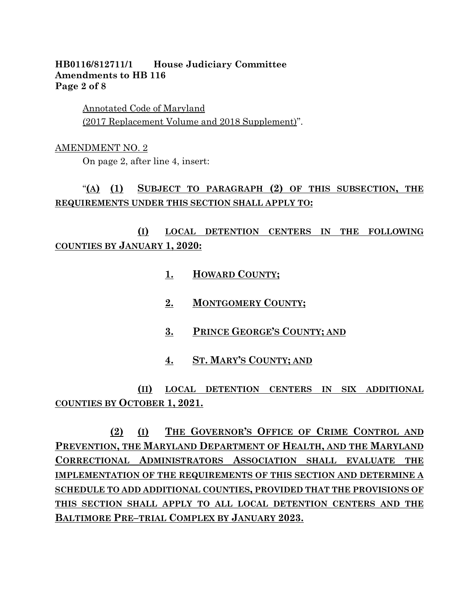#### **HB0116/812711/1 House Judiciary Committee Amendments to HB 116 Page 2 of 8**

Annotated Code of Maryland (2017 Replacement Volume and 2018 Supplement)".

#### AMENDMENT NO. 2

On page 2, after line 4, insert:

# "**(A) (1) SUBJECT TO PARAGRAPH (2) OF THIS SUBSECTION, THE REQUIREMENTS UNDER THIS SECTION SHALL APPLY TO:**

# **(I) LOCAL DETENTION CENTERS IN THE FOLLOWING COUNTIES BY JANUARY 1, 2020:**

- **1. HOWARD COUNTY;**
- **2. MONTGOMERY COUNTY;**
- **3. PRINCE GEORGE'S COUNTY; AND**
- **4. ST. MARY'S COUNTY; AND**

**(II) LOCAL DETENTION CENTERS IN SIX ADDITIONAL COUNTIES BY OCTOBER 1, 2021.**

**(2) (I) THE GOVERNOR'S OFFICE OF CRIME CONTROL AND PREVENTION, THE MARYLAND DEPARTMENT OF HEALTH, AND THE MARYLAND CORRECTIONAL ADMINISTRATORS ASSOCIATION SHALL EVALUATE THE IMPLEMENTATION OF THE REQUIREMENTS OF THIS SECTION AND DETERMINE A SCHEDULE TO ADD ADDITIONAL COUNTIES, PROVIDED THAT THE PROVISIONS OF THIS SECTION SHALL APPLY TO ALL LOCAL DETENTION CENTERS AND THE BALTIMORE PRE–TRIAL COMPLEX BY JANUARY 2023.**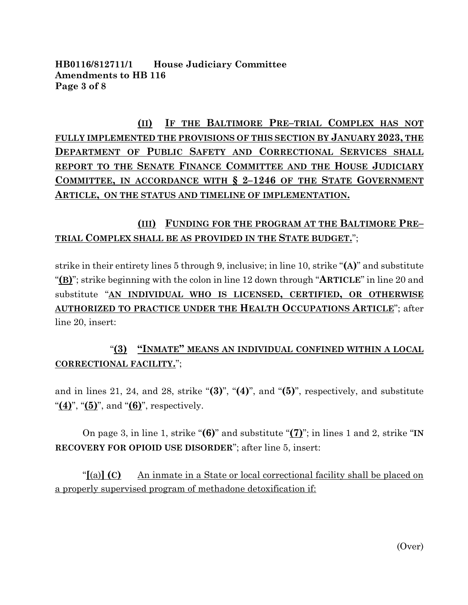**HB0116/812711/1 House Judiciary Committee Amendments to HB 116 Page 3 of 8**

**(II) IF THE BALTIMORE PRE–TRIAL COMPLEX HAS NOT FULLY IMPLEMENTED THE PROVISIONS OF THIS SECTION BY JANUARY 2023, THE DEPARTMENT OF PUBLIC SAFETY AND CORRECTIONAL SERVICES SHALL REPORT TO THE SENATE FINANCE COMMITTEE AND THE HOUSE JUDICIARY COMMITTEE, IN ACCORDANCE WITH § 2–1246 OF THE STATE GOVERNMENT ARTICLE, ON THE STATUS AND TIMELINE OF IMPLEMENTATION.**

# **(III) FUNDING FOR THE PROGRAM AT THE BALTIMORE PRE– TRIAL COMPLEX SHALL BE AS PROVIDED IN THE STATE BUDGET.**";

strike in their entirety lines 5 through 9, inclusive; in line 10, strike "**(A)**" and substitute "**(B)**"; strike beginning with the colon in line 12 down through "**ARTICLE**" in line 20 and substitute "**AN INDIVIDUAL WHO IS LICENSED, CERTIFIED, OR OTHERWISE AUTHORIZED TO PRACTICE UNDER THE HEALTH OCCUPATIONS ARTICLE**"; after line 20, insert:

# "**(3) "INMATE" MEANS AN INDIVIDUAL CONFINED WITHIN A LOCAL CORRECTIONAL FACILITY.**";

and in lines 21, 24, and 28, strike "**(3)**", "**(4)**", and "**(5)**", respectively, and substitute "**(4)**", "**(5)**", and "**(6)**", respectively.

On page 3, in line 1, strike "**(6)**" and substitute "**(7)**"; in lines 1 and 2, strike "**IN RECOVERY FOR OPIOID USE DISORDER**"; after line 5, insert:

"**[**(a)**] (C)** An inmate in a State or local correctional facility shall be placed on a properly supervised program of methadone detoxification if: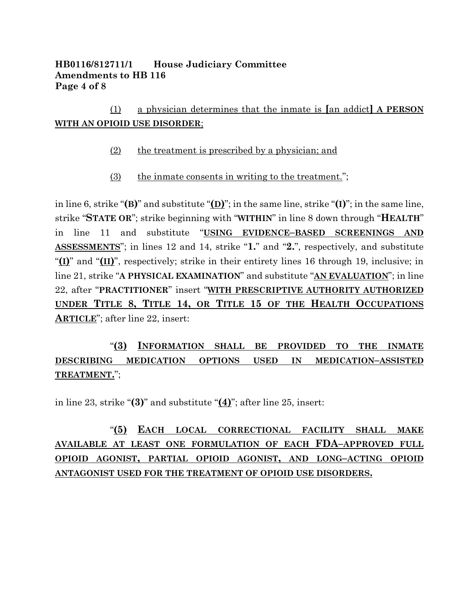## **HB0116/812711/1 House Judiciary Committee Amendments to HB 116 Page 4 of 8**

(1) a physician determines that the inmate is **[**an addict**] A PERSON WITH AN OPIOID USE DISORDER**;

- (2) the treatment is prescribed by a physician; and
- (3) the inmate consents in writing to the treatment.";

in line 6, strike "**(B)**" and substitute "**(D)**"; in the same line, strike "**(I)**"; in the same line, strike "**STATE OR**"; strike beginning with "**WITHIN**" in line 8 down through "**HEALTH**" in line 11 and substitute "**USING EVIDENCE–BASED SCREENINGS AND ASSESSMENTS**"; in lines 12 and 14, strike "**1.**" and "**2.**", respectively, and substitute "**(I)**" and "**(II)**", respectively; strike in their entirety lines 16 through 19, inclusive; in line 21, strike "**A PHYSICAL EXAMINATION**" and substitute "**AN EVALUATION**"; in line 22, after "**PRACTITIONER**" insert "**WITH PRESCRIPTIVE AUTHORITY AUTHORIZED UNDER TITLE 8, TITLE 14, OR TITLE 15 OF THE HEALTH OCCUPATIONS ARTICLE**"; after line 22, insert:

"**(3) INFORMATION SHALL BE PROVIDED TO THE INMATE DESCRIBING MEDICATION OPTIONS USED IN MEDICATION–ASSISTED TREATMENT.**";

in line 23, strike "**(3)**" and substitute "**(4)**"; after line 25, insert:

# "**(5) EACH LOCAL CORRECTIONAL FACILITY SHALL MAKE AVAILABLE AT LEAST ONE FORMULATION OF EACH FDA–APPROVED FULL OPIOID AGONIST, PARTIAL OPIOID AGONIST, AND LONG–ACTING OPIOID ANTAGONIST USED FOR THE TREATMENT OF OPIOID USE DISORDERS.**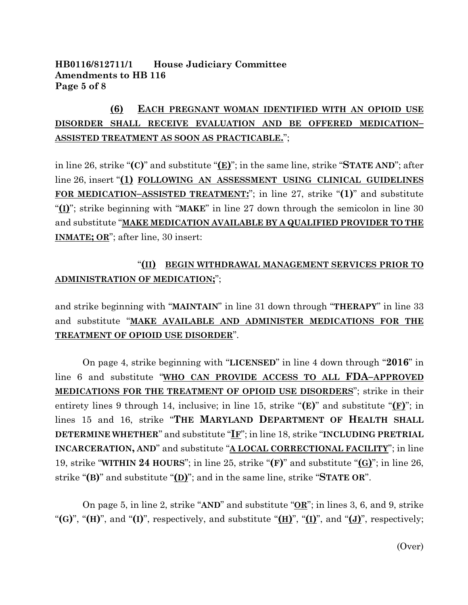#### **HB0116/812711/1 House Judiciary Committee Amendments to HB 116 Page 5 of 8**

# **(6) EACH PREGNANT WOMAN IDENTIFIED WITH AN OPIOID USE DISORDER SHALL RECEIVE EVALUATION AND BE OFFERED MEDICATION– ASSISTED TREATMENT AS SOON AS PRACTICABLE.**";

in line 26, strike "**(C)**" and substitute "**(E)**"; in the same line, strike "**STATE AND**"; after line 26, insert "**(1) FOLLOWING AN ASSESSMENT USING CLINICAL GUIDELINES FOR MEDICATION–ASSISTED TREATMENT:**"; in line 27, strike "**(1)**" and substitute "**(I)**"; strike beginning with "**MAKE**" in line 27 down through the semicolon in line 30 and substitute "**MAKE MEDICATION AVAILABLE BY A QUALIFIED PROVIDER TO THE INMATE; OR**"; after line, 30 insert:

# "**(II) BEGIN WITHDRAWAL MANAGEMENT SERVICES PRIOR TO ADMINISTRATION OF MEDICATION;**";

and strike beginning with "**MAINTAIN**" in line 31 down through "**THERAPY**" in line 33 and substitute "**MAKE AVAILABLE AND ADMINISTER MEDICATIONS FOR THE TREATMENT OF OPIOID USE DISORDER**".

On page 4, strike beginning with "**LICENSED**" in line 4 down through "**2016**" in line 6 and substitute "**WHO CAN PROVIDE ACCESS TO ALL FDA–APPROVED MEDICATIONS FOR THE TREATMENT OF OPIOID USE DISORDERS**"; strike in their entirety lines 9 through 14, inclusive; in line 15, strike "**(E)**" and substitute "**(F)**"; in lines 15 and 16, strike "**THE MARYLAND DEPARTMENT OF HEALTH SHALL DETERMINE WHETHER**" and substitute "**IF**"; in line 18, strike "**INCLUDING PRETRIAL INCARCERATION, AND**" and substitute "**A LOCAL CORRECTIONAL FACILITY**"; in line 19, strike "**WITHIN 24 HOURS**"; in line 25, strike "**(F)**" and substitute "**(G)**"; in line 26, strike "**(B)**" and substitute "**(D)**"; and in the same line, strike "**STATE OR**".

On page 5, in line 2, strike "**AND**" and substitute "**OR**"; in lines 3, 6, and 9, strike "**(G)**", "**(H)**", and "**(I)**", respectively, and substitute "**(H)**", "**(I)**", and "**(J)**", respectively;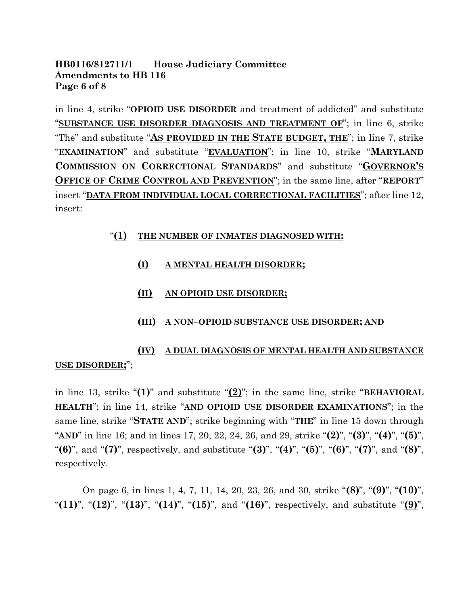#### **HB0116/812711/1 House Judiciary Committee Amendments to HB 116 Page 6 of 8**

in line 4, strike "**OPIOID USE DISORDER** and treatment of addicted" and substitute "**SUBSTANCE USE DISORDER DIAGNOSIS AND TREATMENT OF**"; in line 6, strike "The" and substitute "**AS PROVIDED IN THE STATE BUDGET, THE**"; in line 7, strike "**EXAMINATION**" and substitute "**EVALUATION**"; in line 10, strike "**MARYLAND COMMISSION ON CORRECTIONAL STANDARDS**" and substitute "**GOVERNOR'S OFFICE OF CRIME CONTROL AND PREVENTION**"; in the same line, after "**REPORT**" insert "**DATA FROM INDIVIDUAL LOCAL CORRECTIONAL FACILITIES**"; after line 12, insert:

#### "**(1) THE NUMBER OF INMATES DIAGNOSED WITH:**

- **(I) A MENTAL HEALTH DISORDER;**
- **(II) AN OPIOID USE DISORDER;**
- **(III) A NON–OPIOID SUBSTANCE USE DISORDER; AND**

# **(IV) A DUAL DIAGNOSIS OF MENTAL HEALTH AND SUBSTANCE USE DISORDER;**";

in line 13, strike "**(1)**" and substitute "**(2)**"; in the same line, strike "**BEHAVIORAL HEALTH**"; in line 14, strike "**AND OPIOID USE DISORDER EXAMINATIONS**"; in the same line, strike "**STATE AND**"; strike beginning with "**THE**" in line 15 down through "**AND**" in line 16; and in lines 17, 20, 22, 24, 26, and 29, strike "**(2)**", "**(3)**", "**(4)**", "**(5)**", "**(6)**", and "**(7)**", respectively, and substitute "**(3)**", "**(4)**", "**(5)**", "**(6)**", "**(7)**", and "**(8)**", respectively.

On page 6, in lines 1, 4, 7, 11, 14, 20, 23, 26, and 30, strike "**(8)**", "**(9)**", "**(10)**", "**(11)**", "**(12)**", "**(13)**", "**(14)**", "**(15)**", and "**(16)**", respectively, and substitute "**(9)**",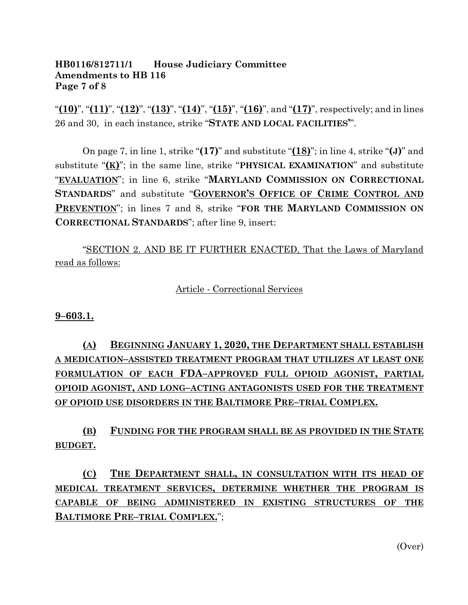#### **HB0116/812711/1 House Judiciary Committee Amendments to HB 116 Page 7 of 8**

"**(10)**", "**(11)**", "**(12)**", "**(13)**", "**(14)**", "**(15)**", "**(16)**", and "**(17)**", respectively; and in lines 26 and 30, in each instance, strike "**STATE AND LOCAL FACILITIES'**".

On page 7, in line 1, strike "**(17)**" and substitute "**(18)**"; in line 4, strike "**(J)**" and substitute "**(K)**"; in the same line, strike "**PHYSICAL EXAMINATION**" and substitute "**EVALUATION**"; in line 6, strike "**MARYLAND COMMISSION ON CORRECTIONAL STANDARDS**" and substitute "**GOVERNOR'S OFFICE OF CRIME CONTROL AND PREVENTION**"; in lines 7 and 8, strike "**FOR THE MARYLAND COMMISSION ON CORRECTIONAL STANDARDS**"; after line 9, insert:

"SECTION 2. AND BE IT FURTHER ENACTED, That the Laws of Maryland read as follows:

Article - Correctional Services

**9–603.1.**

**(A) BEGINNING JANUARY 1, 2020, THE DEPARTMENT SHALL ESTABLISH A MEDICATION–ASSISTED TREATMENT PROGRAM THAT UTILIZES AT LEAST ONE FORMULATION OF EACH FDA–APPROVED FULL OPIOID AGONIST, PARTIAL OPIOID AGONIST, AND LONG–ACTING ANTAGONISTS USED FOR THE TREATMENT OF OPIOID USE DISORDERS IN THE BALTIMORE PRE–TRIAL COMPLEX.**

**(B) FUNDING FOR THE PROGRAM SHALL BE AS PROVIDED IN THE STATE BUDGET.**

**(C) THE DEPARTMENT SHALL, IN CONSULTATION WITH ITS HEAD OF MEDICAL TREATMENT SERVICES, DETERMINE WHETHER THE PROGRAM IS CAPABLE OF BEING ADMINISTERED IN EXISTING STRUCTURES OF THE BALTIMORE PRE–TRIAL COMPLEX.**";

(Over)